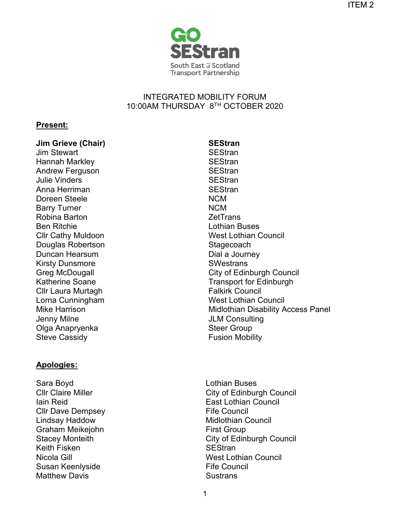

## INTEGRATED MOBILITY FORUM 10:00AM THURSDAY 8TH OCTOBER 2020

### **Present:**

# **Jim Grieve (Chair) SEStran**<br>Im Stewart **SEStran**

**Jim Stewart** Hannah Markley **SEStran** Andrew Ferguson SEStran Julie Vinders **SEStran** Anna Herriman SEStran Doreen Steele Barry Turner Robina Barton Ben Ritchie Cllr Cathy Muldoon Douglas Robertson Duncan Hearsum Kirsty Dunsmore Greg McDougall Katherine Soane Cllr Laura Murtagh Lorna Cunningham Mike Harrison Jenny Milne Olga Anapryenka Steve Cassidy

## **Apologies:**

Sara Boyd **Communist Communist Communist Communist Communist Communist Communist Communist Communist Communist Communist Communist Communist Communist Communist Communist Communist Communist Communist Communist Communist C** Cllr Claire Miller Iain Reid Cllr Dave Dempsey Lindsay Haddow Graham Meikejohn Stacey Monteith Keith Fisken Nicola Gill Susan Keenlyside Matthew Davis

NCM NCM **ZetTrans** Lothian Buses West Lothian Council **Stagecoach** Dial a Journey **SWestrans** City of Edinburgh Council Transport for Edinburgh Falkirk Council West Lothian Council Midlothian Disability Access Panel JLM Consulting Steer Group Fusion Mobility

City of Edinburgh Council East Lothian Council Fife Council Midlothian Council First Group City of Edinburgh Council **SEStran** West Lothian Council Fife Council **Sustrans**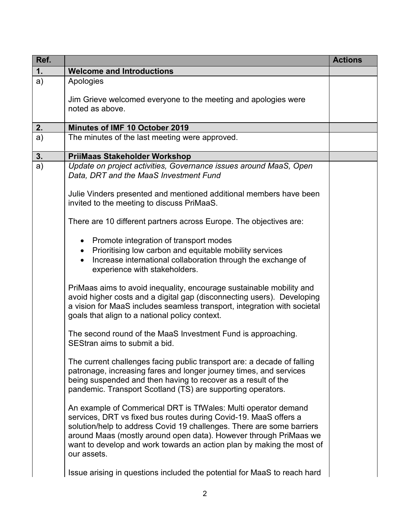| Ref. |                                                                                                                                                                                                                                                                                                                                                                          | <b>Actions</b> |
|------|--------------------------------------------------------------------------------------------------------------------------------------------------------------------------------------------------------------------------------------------------------------------------------------------------------------------------------------------------------------------------|----------------|
| 1.   | <b>Welcome and Introductions</b>                                                                                                                                                                                                                                                                                                                                         |                |
| a)   | Apologies<br>Jim Grieve welcomed everyone to the meeting and apologies were<br>noted as above.                                                                                                                                                                                                                                                                           |                |
| 2.   | Minutes of IMF 10 October 2019                                                                                                                                                                                                                                                                                                                                           |                |
| a)   | The minutes of the last meeting were approved.                                                                                                                                                                                                                                                                                                                           |                |
| 3.   | <b>PriiMaas Stakeholder Workshop</b>                                                                                                                                                                                                                                                                                                                                     |                |
| a)   | Update on project activities, Governance issues around MaaS, Open<br>Data, DRT and the MaaS Investment Fund<br>Julie Vinders presented and mentioned additional members have been                                                                                                                                                                                        |                |
|      | invited to the meeting to discuss PriMaaS.                                                                                                                                                                                                                                                                                                                               |                |
|      | There are 10 different partners across Europe. The objectives are:                                                                                                                                                                                                                                                                                                       |                |
|      | Promote integration of transport modes<br>$\bullet$<br>Prioritising low carbon and equitable mobility services<br>$\bullet$<br>Increase international collaboration through the exchange of<br>experience with stakeholders.                                                                                                                                             |                |
|      | PriMaas aims to avoid inequality, encourage sustainable mobility and<br>avoid higher costs and a digital gap (disconnecting users). Developing<br>a vision for MaaS includes seamless transport, integration with societal<br>goals that align to a national policy context.                                                                                             |                |
|      | The second round of the MaaS Investment Fund is approaching.<br>SEStran aims to submit a bid.                                                                                                                                                                                                                                                                            |                |
|      | The current challenges facing public transport are: a decade of falling<br>patronage, increasing fares and longer journey times, and services<br>being suspended and then having to recover as a result of the<br>pandemic. Transport Scotland (TS) are supporting operators.                                                                                            |                |
|      | An example of Commerical DRT is TfWales: Multi operator demand<br>services, DRT vs fixed bus routes during Covid-19. MaaS offers a<br>solution/help to address Covid 19 challenges. There are some barriers<br>around Maas (mostly around open data). However through PriMaas we<br>want to develop and work towards an action plan by making the most of<br>our assets. |                |
|      | Issue arising in questions included the potential for MaaS to reach hard                                                                                                                                                                                                                                                                                                 |                |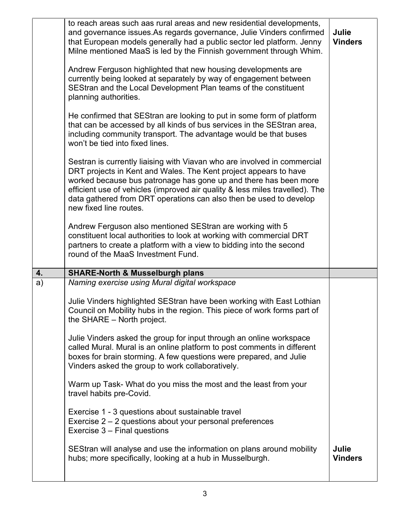|    | to reach areas such aas rural areas and new residential developments,<br>and governance issues. As regards governance, Julie Vinders confirmed<br>that European models generally had a public sector led platform. Jenny<br>Milne mentioned MaaS is led by the Finnish government through Whim.<br>Andrew Ferguson highlighted that new housing developments are<br>currently being looked at separately by way of engagement between<br>SEStran and the Local Development Plan teams of the constituent<br>planning authorities.<br>He confirmed that SEStran are looking to put in some form of platform<br>that can be accessed by all kinds of bus services in the SEStran area,<br>including community transport. The advantage would be that buses<br>won't be tied into fixed lines.<br>Sestran is currently liaising with Viavan who are involved in commercial<br>DRT projects in Kent and Wales. The Kent project appears to have<br>worked because bus patronage has gone up and there has been more<br>efficient use of vehicles (improved air quality & less miles travelled). The<br>data gathered from DRT operations can also then be used to develop<br>new fixed line routes.<br>Andrew Ferguson also mentioned SEStran are working with 5<br>constituent local authorities to look at working with commercial DRT | Julie<br><b>Vinders</b> |
|----|--------------------------------------------------------------------------------------------------------------------------------------------------------------------------------------------------------------------------------------------------------------------------------------------------------------------------------------------------------------------------------------------------------------------------------------------------------------------------------------------------------------------------------------------------------------------------------------------------------------------------------------------------------------------------------------------------------------------------------------------------------------------------------------------------------------------------------------------------------------------------------------------------------------------------------------------------------------------------------------------------------------------------------------------------------------------------------------------------------------------------------------------------------------------------------------------------------------------------------------------------------------------------------------------------------------------------------------|-------------------------|
|    | partners to create a platform with a view to bidding into the second<br>round of the MaaS Investment Fund.                                                                                                                                                                                                                                                                                                                                                                                                                                                                                                                                                                                                                                                                                                                                                                                                                                                                                                                                                                                                                                                                                                                                                                                                                           |                         |
| 4. | <b>SHARE-North &amp; Musselburgh plans</b>                                                                                                                                                                                                                                                                                                                                                                                                                                                                                                                                                                                                                                                                                                                                                                                                                                                                                                                                                                                                                                                                                                                                                                                                                                                                                           |                         |
| a) | Naming exercise using Mural digital workspace<br>Julie Vinders highlighted SEStran have been working with East Lothian<br>Council on Mobility hubs in the region. This piece of work forms part of<br>the SHARE - North project.<br>Julie Vinders asked the group for input through an online workspace<br>called Mural. Mural is an online platform to post comments in different<br>boxes for brain storming. A few questions were prepared, and Julie<br>Vinders asked the group to work collaboratively.<br>Warm up Task- What do you miss the most and the least from your<br>travel habits pre-Covid.<br>Exercise 1 - 3 questions about sustainable travel<br>Exercise 2 - 2 questions about your personal preferences                                                                                                                                                                                                                                                                                                                                                                                                                                                                                                                                                                                                         |                         |
|    | Exercise 3 – Final questions<br>SEStran will analyse and use the information on plans around mobility<br>hubs; more specifically, looking at a hub in Musselburgh.                                                                                                                                                                                                                                                                                                                                                                                                                                                                                                                                                                                                                                                                                                                                                                                                                                                                                                                                                                                                                                                                                                                                                                   | Julie<br><b>Vinders</b> |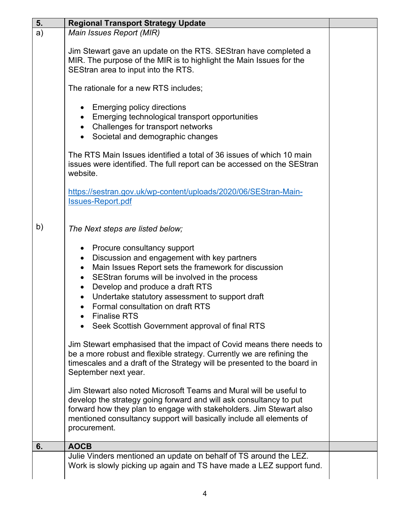| 5. | <b>Regional Transport Strategy Update</b>                                                                                                                                                                                                                                                                                                                                                                           |  |
|----|---------------------------------------------------------------------------------------------------------------------------------------------------------------------------------------------------------------------------------------------------------------------------------------------------------------------------------------------------------------------------------------------------------------------|--|
| a) | Main Issues Report (MIR)                                                                                                                                                                                                                                                                                                                                                                                            |  |
|    | Jim Stewart gave an update on the RTS. SEStran have completed a<br>MIR. The purpose of the MIR is to highlight the Main Issues for the<br>SEStran area to input into the RTS.                                                                                                                                                                                                                                       |  |
|    | The rationale for a new RTS includes;                                                                                                                                                                                                                                                                                                                                                                               |  |
|    | Emerging policy directions<br>Emerging technological transport opportunities<br>• Challenges for transport networks<br>Societal and demographic changes<br>$\bullet$                                                                                                                                                                                                                                                |  |
|    | The RTS Main Issues identified a total of 36 issues of which 10 main<br>issues were identified. The full report can be accessed on the SEStran<br>website.                                                                                                                                                                                                                                                          |  |
|    | https://sestran.gov.uk/wp-content/uploads/2020/06/SEStran-Main-<br><b>Issues-Report.pdf</b>                                                                                                                                                                                                                                                                                                                         |  |
| b) | The Next steps are listed below;                                                                                                                                                                                                                                                                                                                                                                                    |  |
|    | Procure consultancy support<br>$\bullet$<br>Discussion and engagement with key partners<br>$\bullet$<br>Main Issues Report sets the framework for discussion<br>$\bullet$<br>SEStran forums will be involved in the process<br>$\bullet$<br>Develop and produce a draft RTS<br>$\bullet$<br>Undertake statutory assessment to support draft<br>$\bullet$<br>Formal consultation on draft RTS<br><b>Finalise RTS</b> |  |
|    | Seek Scottish Government approval of final RTS                                                                                                                                                                                                                                                                                                                                                                      |  |
|    | Jim Stewart emphasised that the impact of Covid means there needs to<br>be a more robust and flexible strategy. Currently we are refining the<br>timescales and a draft of the Strategy will be presented to the board in<br>September next year.                                                                                                                                                                   |  |
|    | Jim Stewart also noted Microsoft Teams and Mural will be useful to<br>develop the strategy going forward and will ask consultancy to put<br>forward how they plan to engage with stakeholders. Jim Stewart also<br>mentioned consultancy support will basically include all elements of<br>procurement.                                                                                                             |  |
| 6. | <b>AOCB</b>                                                                                                                                                                                                                                                                                                                                                                                                         |  |
|    | Julie Vinders mentioned an update on behalf of TS around the LEZ.<br>Work is slowly picking up again and TS have made a LEZ support fund.                                                                                                                                                                                                                                                                           |  |